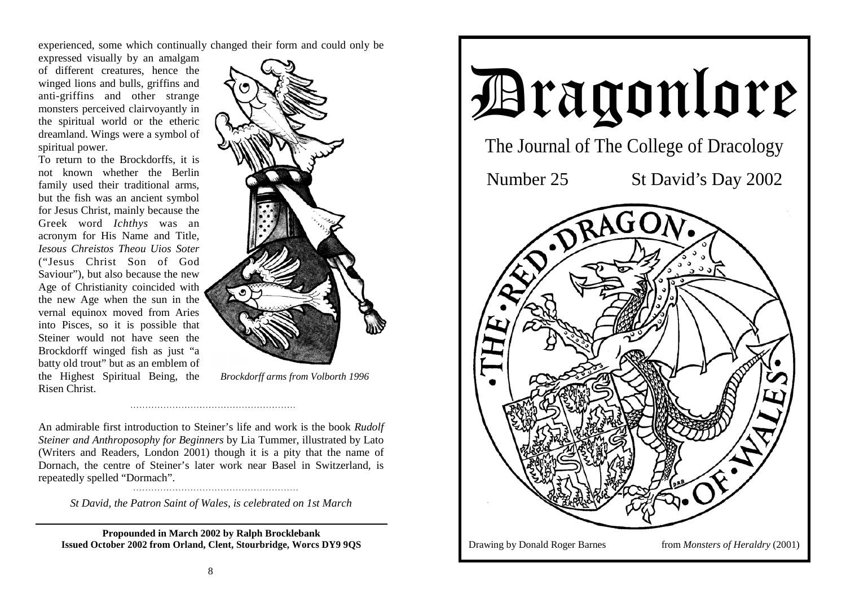experienced, some which continually changed their form and could only be

expressed visually by an amalgam of different creatures, hence the winged lions and bulls, griffins and anti-griffins and other strange monsters perceived clairvoyantly in the spiritual world or the etheric dreamland. Wings were a symbol of spiritual power.

To return to the Brockdorffs, it is not known whether the Berlin family used their traditional arms, but the fish was an ancient symbol for Jesus Christ, mainly because the Greek word *Ichthys* was an acronym for His Name and Title, *Iesous Chreistos Theou Uios Soter*("Jesus Christ Son of God Saviour"), but also because the new Age of Christianity coincided with the new Age when the sun in the vernal equinox moved from Aries into Pisces, so it is possible that Steiner would not have seen the Brockdorff winged fish as just "a batty old trout" but as an emblem of the Highest Spiritual Being, the Risen Christ.



*Brockdorff arms from Volborth 1996* 

An admirable first introduction to Steiner's life and work is the book *Rudolf Steiner and Anthroposophy for Beginners* by Lia Tummer, illustrated by Lato (Writers and Readers, London 2001) though it is a pity that the name of Dornach, the centre of Steiner's later work near Basel in Switzerland, is repeatedly spelled "Dormach".

*St David, the Patron Saint of Wales, is celebrated on 1st March* 

**Propounded in March 2002 by Ralph Brocklebank Issued October 2002 from Orland, Clent, Stourbridge, Worcs DY9 9QS** 

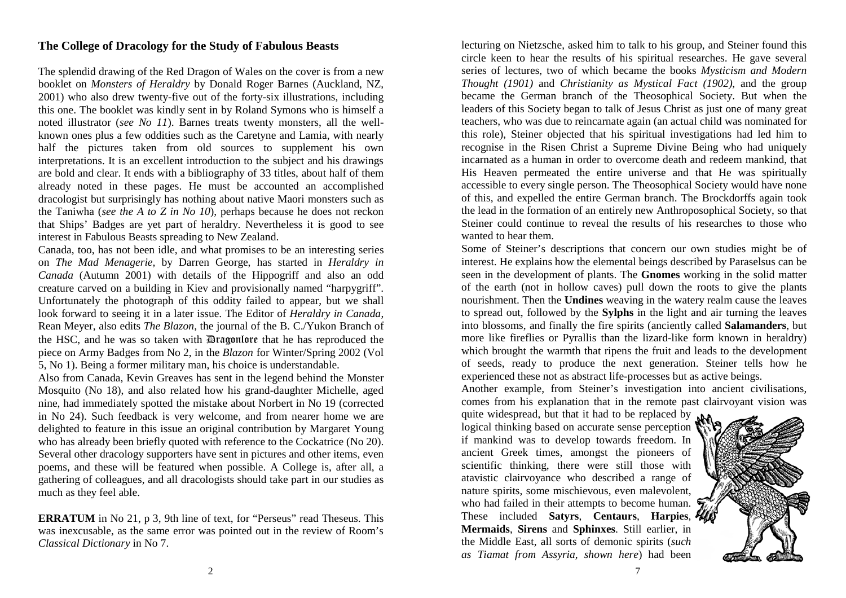## **The College of Dracology for the Study of Fabulous Beasts**

The splendid drawing of the Red Dragon of Wales on the cover is from a new booklet on *Monsters of Heraldry* by Donald Roger Barnes (Auckland, NZ, 2001) who also drew twenty-five out of the forty-six illustrations, including this one. The booklet was kindly sent in by Roland Symons who is himself a noted illustrator (*see No 11*). Barnes treats twenty monsters, all the wellknown ones plus a few oddities such as the Caretyne and Lamia, with nearly half the pictures taken from old sources to supplement his own interpretations. It is an excellent introduction to the subject and his drawings are bold and clear. It ends with a bibliography of 33 titles, about half of them already noted in these pages. He must be accounted an accomplished dracologist but surprisingly has nothing about native Maori monsters such as the Taniwha (*see the A to Z in No 10*), perhaps because he does not reckon that Ships' Badges are yet part of heraldry. Nevertheless it is good to see interest in Fabulous Beasts spreading to New Zealand.

Canada, too, has not been idle, and what promises to be an interesting series on *The Mad Menagerie,* by Darren George, has started in *Heraldry in Canada* (Autumn 2001) with details of the Hippogriff and also an odd creature carved on a building in Kiev and provisionally named "harpygriff". Unfortunately the photograph of this oddity failed to appear, but we shall look forward to seeing it in a later issue. The Editor of *Heraldry in Canada*, Rean Meyer, also edits *The Blazon*, the journal of the B. C./Yukon Branch of the HSC, and he was so taken with Dragonlore that he has reproduced the piece on Army Badges from No 2, in the *Blazon* for Winter/Spring 2002 (Vol 5, No 1). Being a former military man, his choice is understandable.

Also from Canada, Kevin Greaves has sent in the legend behind the Monster Mosquito (No 18), and also related how his grand-daughter Michelle, aged nine, had immediately spotted the mistake about Norbert in No 19 (corrected in No 24). Such feedback is very welcome, and from nearer home we are delighted to feature in this issue an original contribution by Margaret Young who has already been briefly quoted with reference to the Cockatrice (No 20). Several other dracology supporters have sent in pictures and other items, even poems, and these will be featured when possible. A College is, after all, a gathering of colleagues, and all dracologists should take part in our studies as much as they feel able.

**ERRATUM** in No 21, p 3, 9th line of text, for "Perseus" read Theseus. This was inexcusable, as the same error was pointed out in the review of Room's *Classical Dictionary* in No 7.

lecturing on Nietzsche, asked him to talk to his group, and Steiner found this circle keen to hear the results of his spiritual researches. He gave several series of lectures, two of which became the books *Mysticism and Modern Thought (1901)* and *Christianity as Mystical Fact (1902)*, and the group became the German branch of the Theosophical Society. But when the leaders of this Society began to talk of Jesus Christ as just one of many great teachers, who was due to reincarnate again (an actual child was nominated for this role), Steiner objected that his spiritual investigations had led him to recognise in the Risen Christ a Supreme Divine Being who had uniquely incarnated as a human in order to overcome death and redeem mankind, that His Heaven permeated the entire universe and that He was spiritually accessible to every single person. The Theosophical Society would have none of this, and expelled the entire German branch. The Brockdorffs again took the lead in the formation of an entirely new Anthroposophical Society, so that Steiner could continue to reveal the results of his researches to those who wanted to hear them.

Some of Steiner's descriptions that concern our own studies might be of interest. He explains how the elemental beings described by Paraselsus can be seen in the development of plants. The **Gnomes** working in the solid matter of the earth (not in hollow caves) pull down the roots to give the plants nourishment. Then the **Undines** weaving in the watery realm cause the leaves to spread out, followed by the **Sylphs** in the light and air turning the leaves into blossoms, and finally the fire spirits (anciently called **Salamanders**, but more like fireflies or Pyrallis than the lizard-like form known in heraldry) which brought the warmth that ripens the fruit and leads to the development of seeds, ready to produce the next generation. Steiner tells how he experienced these not as abstract life-processes but as active beings.

Another example, from Steiner's investigation into ancient civilisations, comes from his explanation that in the remote past clairvoyant vision was

quite widespread, but that it had to be replaced by  $_{\rm bNA}$ logical thinking based on accurate sense perception if mankind was to develop towards freedom. In ancient Greek times, amongst the pioneers of scientific thinking, there were still those with atavistic clairvoyance who described a range of nature spirits, some mischievous, even malevolent, who had failed in their attempts to become human. These included **Satyrs**, **Centaurs**, **Harpies**, **Mermaids**, **Sirens** and **Sphinxes**. Still earlier, in the Middle East, all sorts of demonic spirits (*such as Tiamat from Assyria, shown here*) had been

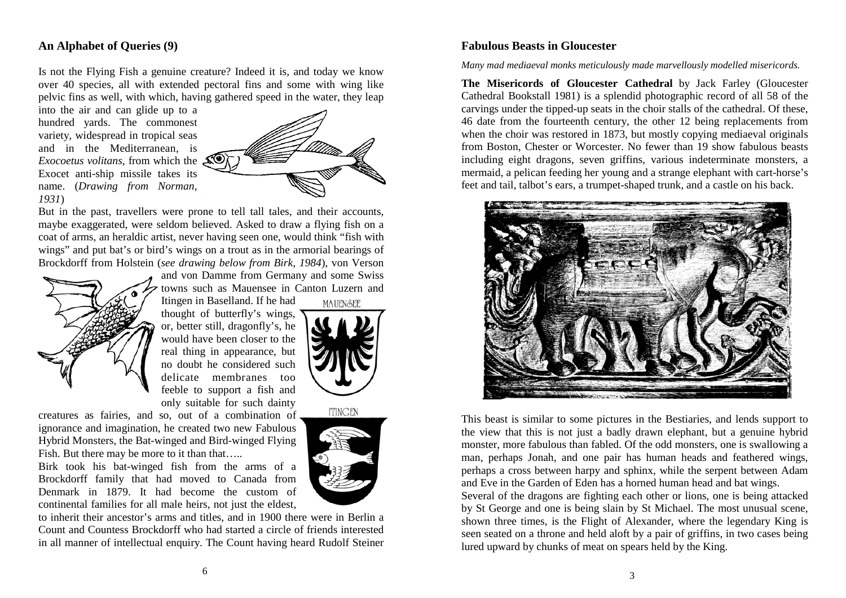### **An Alphabet of Queries (9)**

Is not the Flying Fish a genuine creature? Indeed it is, and today we know over 40 species, all with extended pectoral fins and some with wing like pelvic fins as well, with which, having gathered speed in the water, they leap

into the air and can glide up to a hundred yards. The commonest variety, widespread in tropical seas and in the Mediterranean, is *Exocoetus volitans*, from which the Exocet anti-ship missile takes its name. (*Drawing from Norman, 1931*)



But in the past, travellers were prone to tell tall tales, and their accounts, maybe exaggerated, were seldom believed. Asked to draw a flying fish on a coat of arms, an heraldic artist, never having seen one, would think "fish with wings" and put bat's or bird's wings on a trout as in the armorial bearings of Brockdorff from Holstein (*see drawing below from Birk, 1984*), von Verson



and von Damme from Germany and some Swiss towns such as Mauensee in Canton Luzern and Itingen in Baselland. If he had **MAUENSEE** 

thought of butterfly's wings, or, better still, dragonfly's, he would have been closer to the real thing in appearance, but no doubt he considered such delicate membranes too feeble to support a fish and only suitable for such dainty



creatures as fairies, and so, out of a combination of ignorance and imagination, he created two new Fabulous Hybrid Monsters, the Bat-winged and Bird-winged Flying Fish. But there may be more to it than that…..

Birk took his bat-winged fish from the arms of a Brockdorff family that had moved to Canada from Denmark in 1879. It had become the custom of continental families for all male heirs, not just the eldest,

to inherit their ancestor's arms and titles, and in 1900 there were in Berlin a Count and Countess Brockdorff who had started a circle of friends interested in all manner of intellectual enquiry. The Count having heard Rudolf Steiner

# **ITINGEN**

## **Fabulous Beasts in Gloucester**

### *Many mad mediaeval monks meticulously made marvellously modelled misericords.*

**The Misericords of Gloucester Cathedral** by Jack Farley (Gloucester Cathedral Bookstall 1981) is a splendid photographic record of all 58 of the carvings under the tipped-up seats in the choir stalls of the cathedral. Of these, 46 date from the fourteenth century, the other 12 being replacements from when the choir was restored in 1873, but mostly copying mediaeval originals from Boston, Chester or Worcester. No fewer than 19 show fabulous beasts including eight dragons, seven griffins, various indeterminate monsters, a mermaid, a pelican feeding her young and a strange elephant with cart-horse's feet and tail, talbot's ears, a trumpet-shaped trunk, and a castle on his back.



This beast is similar to some pictures in the Bestiaries, and lends support to the view that this is not just a badly drawn elephant, but a genuine hybrid monster, more fabulous than fabled. Of the odd monsters, one is swallowing a man, perhaps Jonah, and one pair has human heads and feathered wings, perhaps a cross between harpy and sphinx, while the serpent between Adam and Eve in the Garden of Eden has a horned human head and bat wings.

Several of the dragons are fighting each other or lions, one is being attacked by St George and one is being slain by St Michael. The most unusual scene, shown three times, is the Flight of Alexander, where the legendary King is seen seated on a throne and held aloft by a pair of griffins, in two cases being lured upward by chunks of meat on spears held by the King.